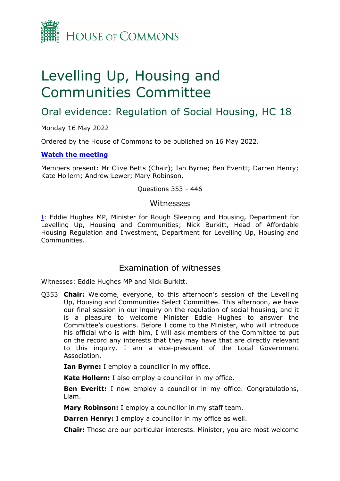

# Levelling Up, Housing and Communities Committee

# Oral evidence: Regulation of Social Housing, HC 18

Monday 16 May 2022

Ordered by the House of Commons to be published on 16 May 2022.

# **[Watch](https://www.parliamentlive.tv/Event/Index/045bbf72-ed8b-4fec-981a-7abcfdd97d8c) [the](https://www.parliamentlive.tv/Event/Index/045bbf72-ed8b-4fec-981a-7abcfdd97d8c) [meeting](https://www.parliamentlive.tv/Event/Index/045bbf72-ed8b-4fec-981a-7abcfdd97d8c)**

Members present: Mr Clive Betts (Chair); Ian Byrne; Ben Everitt; Darren Henry; Kate Hollern; Andrew Lewer; Mary Robinson.

Questions 353 - 446

# Witnesses

[I:](#page-0-0) Eddie Hughes MP, Minister for Rough Sleeping and Housing, Department for Levelling Up, Housing and Communities; Nick Burkitt, Head of Affordable Housing Regulation and Investment, Department for Levelling Up, Housing and Communities.

# <span id="page-0-0"></span>Examination of witnesses

Witnesses: Eddie Hughes MP and Nick Burkitt.

Q353 **Chair:** Welcome, everyone, to this afternoon's session of the Levelling Up, Housing and Communities Select Committee. This afternoon, we have our final session in our inquiry on the regulation of social housing, and it is a pleasure to welcome Minister Eddie Hughes to answer the Committee's questions. Before I come to the Minister, who will introduce his official who is with him, I will ask members of the Committee to put on the record any interests that they may have that are directly relevant to this inquiry. I am a vice-president of the Local Government Association.

**Ian Byrne:** I employ a councillor in my office.

**Kate Hollern:** I also employ a councillor in my office.

**Ben Everitt:** I now employ a councillor in my office. Congratulations, Liam.

**Mary Robinson:** I employ a councillor in my staff team.

**Darren Henry:** I employ a councillor in my office as well.

**Chair:** Those are our particular interests. Minister, you are most welcome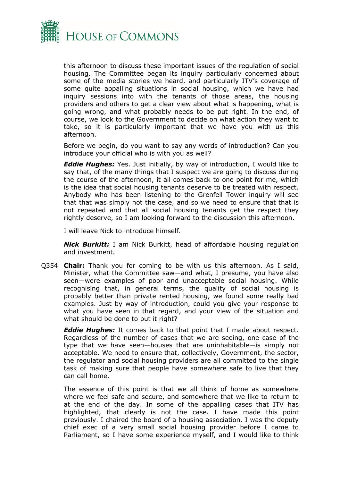

this afternoon to discuss these important issues of the regulation of social housing. The Committee began its inquiry particularly concerned about some of the media stories we heard, and particularly ITV's coverage of some quite appalling situations in social housing, which we have had inquiry sessions into with the tenants of those areas, the housing providers and others to get a clear view about what is happening, what is going wrong, and what probably needs to be put right. In the end, of course, we look to the Government to decide on what action they want to take, so it is particularly important that we have you with us this afternoon.

Before we begin, do you want to say any words of introduction? Can you introduce your official who is with you as well?

*Eddie Hughes:* Yes. Just initially, by way of introduction, I would like to say that, of the many things that I suspect we are going to discuss during the course of the afternoon, it all comes back to one point for me, which is the idea that social housing tenants deserve to be treated with respect. Anybody who has been listening to the Grenfell Tower inquiry will see that that was simply not the case, and so we need to ensure that that is not repeated and that all social housing tenants get the respect they rightly deserve, so I am looking forward to the discussion this afternoon.

I will leave Nick to introduce himself.

*Nick Burkitt:* I am Nick Burkitt, head of affordable housing regulation and investment.

Q354 **Chair:** Thank you for coming to be with us this afternoon. As I said, Minister, what the Committee saw—and what, I presume, you have also seen—were examples of poor and unacceptable social housing. While recognising that, in general terms, the quality of social housing is probably better than private rented housing, we found some really bad examples. Just by way of introduction, could you give your response to what you have seen in that regard, and your view of the situation and what should be done to put it right?

*Eddie Hughes:* It comes back to that point that I made about respect. Regardless of the number of cases that we are seeing, one case of the type that we have seen—houses that are uninhabitable—is simply not acceptable. We need to ensure that, collectively, Government, the sector, the regulator and social housing providers are all committed to the single task of making sure that people have somewhere safe to live that they can call home.

The essence of this point is that we all think of home as somewhere where we feel safe and secure, and somewhere that we like to return to at the end of the day. In some of the appalling cases that ITV has highlighted, that clearly is not the case. I have made this point previously. I chaired the board of a housing association. I was the deputy chief exec of a very small social housing provider before I came to Parliament, so I have some experience myself, and I would like to think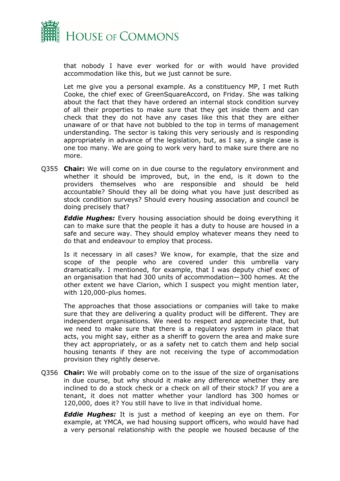

that nobody I have ever worked for or with would have provided accommodation like this, but we just cannot be sure.

Let me give you a personal example. As a constituency MP, I met Ruth Cooke, the chief exec of GreenSquareAccord, on Friday. She was talking about the fact that they have ordered an internal stock condition survey of all their properties to make sure that they get inside them and can check that they do not have any cases like this that they are either unaware of or that have not bubbled to the top in terms of management understanding. The sector is taking this very seriously and is responding appropriately in advance of the legislation, but, as I say, a single case is one too many. We are going to work very hard to make sure there are no more.

Q355 **Chair:** We will come on in due course to the regulatory environment and whether it should be improved, but, in the end, is it down to the providers themselves who are responsible and should be held accountable? Should they all be doing what you have just described as stock condition surveys? Should every housing association and council be doing precisely that?

*Eddie Hughes:* Every housing association should be doing everything it can to make sure that the people it has a duty to house are housed in a safe and secure way. They should employ whatever means they need to do that and endeavour to employ that process.

Is it necessary in all cases? We know, for example, that the size and scope of the people who are covered under this umbrella vary dramatically. I mentioned, for example, that I was deputy chief exec of an organisation that had 300 units of accommodation—300 homes. At the other extent we have Clarion, which I suspect you might mention later, with 120,000-plus homes.

The approaches that those associations or companies will take to make sure that they are delivering a quality product will be different. They are independent organisations. We need to respect and appreciate that, but we need to make sure that there is a regulatory system in place that acts, you might say, either as a sheriff to govern the area and make sure they act appropriately, or as a safety net to catch them and help social housing tenants if they are not receiving the type of accommodation provision they rightly deserve.

Q356 **Chair:** We will probably come on to the issue of the size of organisations in due course, but why should it make any difference whether they are inclined to do a stock check or a check on all of their stock? If you are a tenant, it does not matter whether your landlord has 300 homes or 120,000, does it? You still have to live in that individual home.

*Eddie Hughes:* It is just a method of keeping an eye on them. For example, at YMCA, we had housing support officers, who would have had a very personal relationship with the people we housed because of the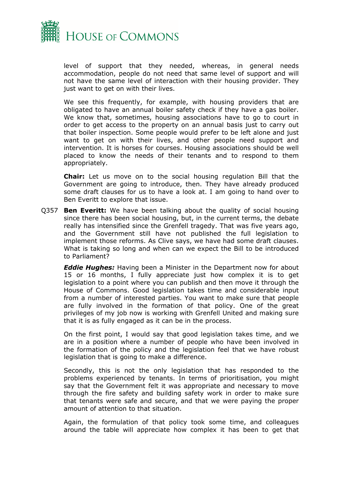

level of support that they needed, whereas, in general needs accommodation, people do not need that same level of support and will not have the same level of interaction with their housing provider. They just want to get on with their lives.

We see this frequently, for example, with housing providers that are obligated to have an annual boiler safety check if they have a gas boiler. We know that, sometimes, housing associations have to go to court in order to get access to the property on an annual basis just to carry out that boiler inspection. Some people would prefer to be left alone and just want to get on with their lives, and other people need support and intervention. It is horses for courses. Housing associations should be well placed to know the needs of their tenants and to respond to them appropriately.

**Chair:** Let us move on to the social housing regulation Bill that the Government are going to introduce, then. They have already produced some draft clauses for us to have a look at. I am going to hand over to Ben Everitt to explore that issue.

Q357 **Ben Everitt:** We have been talking about the quality of social housing since there has been social housing, but, in the current terms, the debate really has intensified since the Grenfell tragedy. That was five years ago, and the Government still have not published the full legislation to implement those reforms. As Clive says, we have had some draft clauses. What is taking so long and when can we expect the Bill to be introduced to Parliament?

*Eddie Hughes:* Having been a Minister in the Department now for about 15 or 16 months, I fully appreciate just how complex it is to get legislation to a point where you can publish and then move it through the House of Commons. Good legislation takes time and considerable input from a number of interested parties. You want to make sure that people are fully involved in the formation of that policy. One of the great privileges of my job now is working with Grenfell United and making sure that it is as fully engaged as it can be in the process.

On the first point, I would say that good legislation takes time, and we are in a position where a number of people who have been involved in the formation of the policy and the legislation feel that we have robust legislation that is going to make a difference.

Secondly, this is not the only legislation that has responded to the problems experienced by tenants. In terms of prioritisation, you might say that the Government felt it was appropriate and necessary to move through the fire safety and building safety work in order to make sure that tenants were safe and secure, and that we were paying the proper amount of attention to that situation.

Again, the formulation of that policy took some time, and colleagues around the table will appreciate how complex it has been to get that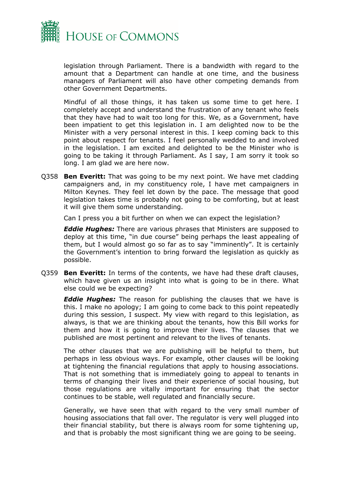

legislation through Parliament. There is a bandwidth with regard to the amount that a Department can handle at one time, and the business managers of Parliament will also have other competing demands from other Government Departments.

Mindful of all those things, it has taken us some time to get here. I completely accept and understand the frustration of any tenant who feels that they have had to wait too long for this. We, as a Government, have been impatient to get this legislation in. I am delighted now to be the Minister with a very personal interest in this. I keep coming back to this point about respect for tenants. I feel personally wedded to and involved in the legislation. I am excited and delighted to be the Minister who is going to be taking it through Parliament. As I say, I am sorry it took so long. I am glad we are here now.

Q358 **Ben Everitt:** That was going to be my next point. We have met cladding campaigners and, in my constituency role, I have met campaigners in Milton Keynes. They feel let down by the pace. The message that good legislation takes time is probably not going to be comforting, but at least it will give them some understanding.

Can I press you a bit further on when we can expect the legislation?

*Eddie Hughes:* There are various phrases that Ministers are supposed to deploy at this time, "in due course" being perhaps the least appealing of them, but I would almost go so far as to say "imminently". It is certainly the Government's intention to bring forward the legislation as quickly as possible.

Q359 **Ben Everitt:** In terms of the contents, we have had these draft clauses, which have given us an insight into what is going to be in there. What else could we be expecting?

*Eddie Hughes:* The reason for publishing the clauses that we have is this. I make no apology; I am going to come back to this point repeatedly during this session, I suspect. My view with regard to this legislation, as always, is that we are thinking about the tenants, how this Bill works for them and how it is going to improve their lives. The clauses that we published are most pertinent and relevant to the lives of tenants.

The other clauses that we are publishing will be helpful to them, but perhaps in less obvious ways. For example, other clauses will be looking at tightening the financial regulations that apply to housing associations. That is not something that is immediately going to appeal to tenants in terms of changing their lives and their experience of social housing, but those regulations are vitally important for ensuring that the sector continues to be stable, well regulated and financially secure.

Generally, we have seen that with regard to the very small number of housing associations that fall over. The regulator is very well plugged into their financial stability, but there is always room for some tightening up, and that is probably the most significant thing we are going to be seeing.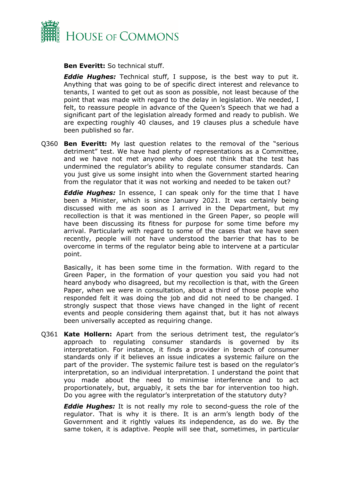

**Ben Everitt:** So technical stuff.

*Eddie Hughes:* Technical stuff, I suppose, is the best way to put it. Anything that was going to be of specific direct interest and relevance to tenants, I wanted to get out as soon as possible, not least because of the point that was made with regard to the delay in legislation. We needed, I felt, to reassure people in advance of the Queen's Speech that we had a significant part of the legislation already formed and ready to publish. We are expecting roughly 40 clauses, and 19 clauses plus a schedule have been published so far.

Q360 **Ben Everitt:** My last question relates to the removal of the "serious detriment" test. We have had plenty of representations as a Committee, and we have not met anyone who does not think that the test has undermined the regulator's ability to regulate consumer standards. Can you just give us some insight into when the Government started hearing from the regulator that it was not working and needed to be taken out?

*Eddie Hughes:* In essence, I can speak only for the time that I have been a Minister, which is since January 2021. It was certainly being discussed with me as soon as I arrived in the Department, but my recollection is that it was mentioned in the Green Paper, so people will have been discussing its fitness for purpose for some time before my arrival. Particularly with regard to some of the cases that we have seen recently, people will not have understood the barrier that has to be overcome in terms of the regulator being able to intervene at a particular point.

Basically, it has been some time in the formation. With regard to the Green Paper, in the formation of your question you said you had not heard anybody who disagreed, but my recollection is that, with the Green Paper, when we were in consultation, about a third of those people who responded felt it was doing the job and did not need to be changed. I strongly suspect that those views have changed in the light of recent events and people considering them against that, but it has not always been universally accepted as requiring change.

Q361 **Kate Hollern:** Apart from the serious detriment test, the regulator's approach to regulating consumer standards is governed by its interpretation. For instance, it finds a provider in breach of consumer standards only if it believes an issue indicates a systemic failure on the part of the provider. The systemic failure test is based on the regulator's interpretation, so an individual interpretation. I understand the point that you made about the need to minimise interference and to act proportionately, but, arguably, it sets the bar for intervention too high. Do you agree with the regulator's interpretation of the statutory duty?

*Eddie Hughes:* It is not really my role to second-guess the role of the regulator. That is why it is there. It is an arm's length body of the Government and it rightly values its independence, as do we. By the same token, it is adaptive. People will see that, sometimes, in particular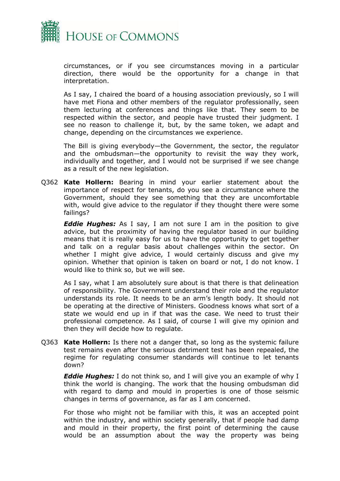

circumstances, or if you see circumstances moving in a particular direction, there would be the opportunity for a change in that interpretation.

As I say, I chaired the board of a housing association previously, so I will have met Fiona and other members of the regulator professionally, seen them lecturing at conferences and things like that. They seem to be respected within the sector, and people have trusted their judgment. I see no reason to challenge it, but, by the same token, we adapt and change, depending on the circumstances we experience.

The Bill is giving everybody—the Government, the sector, the regulator and the ombudsman—the opportunity to revisit the way they work, individually and together, and I would not be surprised if we see change as a result of the new legislation.

Q362 **Kate Hollern:** Bearing in mind your earlier statement about the importance of respect for tenants, do you see a circumstance where the Government, should they see something that they are uncomfortable with, would give advice to the regulator if they thought there were some failings?

*Eddie Hughes:* As I say, I am not sure I am in the position to give advice, but the proximity of having the regulator based in our building means that it is really easy for us to have the opportunity to get together and talk on a regular basis about challenges within the sector. On whether I might give advice, I would certainly discuss and give my opinion. Whether that opinion is taken on board or not, I do not know. I would like to think so, but we will see.

As I say, what I am absolutely sure about is that there is that delineation of responsibility. The Government understand their role and the regulator understands its role. It needs to be an arm's length body. It should not be operating at the directive of Ministers. Goodness knows what sort of a state we would end up in if that was the case. We need to trust their professional competence. As I said, of course I will give my opinion and then they will decide how to regulate.

Q363 **Kate Hollern:** Is there not a danger that, so long as the systemic failure test remains even after the serious detriment test has been repealed, the regime for regulating consumer standards will continue to let tenants down?

*Eddie Hughes:* I do not think so, and I will give you an example of why I think the world is changing. The work that the housing ombudsman did with regard to damp and mould in properties is one of those seismic changes in terms of governance, as far as I am concerned.

For those who might not be familiar with this, it was an accepted point within the industry, and within society generally, that if people had damp and mould in their property, the first point of determining the cause would be an assumption about the way the property was being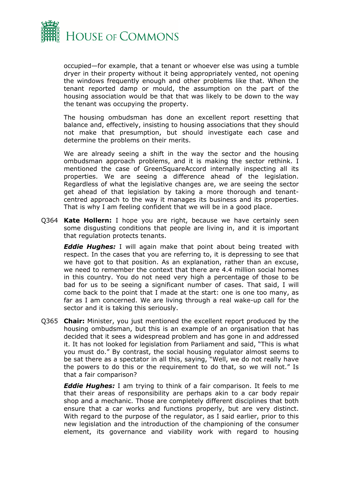

occupied—for example, that a tenant or whoever else was using a tumble dryer in their property without it being appropriately vented, not opening the windows frequently enough and other problems like that. When the tenant reported damp or mould, the assumption on the part of the housing association would be that that was likely to be down to the way the tenant was occupying the property.

The housing ombudsman has done an excellent report resetting that balance and, effectively, insisting to housing associations that they should not make that presumption, but should investigate each case and determine the problems on their merits.

We are already seeing a shift in the way the sector and the housing ombudsman approach problems, and it is making the sector rethink. I mentioned the case of GreenSquareAccord internally inspecting all its properties. We are seeing a difference ahead of the legislation. Regardless of what the legislative changes are, we are seeing the sector get ahead of that legislation by taking a more thorough and tenantcentred approach to the way it manages its business and its properties. That is why I am feeling confident that we will be in a good place.

Q364 **Kate Hollern:** I hope you are right, because we have certainly seen some disgusting conditions that people are living in, and it is important that regulation protects tenants.

*Eddie Hughes:* I will again make that point about being treated with respect. In the cases that you are referring to, it is depressing to see that we have got to that position. As an explanation, rather than an excuse, we need to remember the context that there are 4.4 million social homes in this country. You do not need very high a percentage of those to be bad for us to be seeing a significant number of cases. That said, I will come back to the point that I made at the start: one is one too many, as far as I am concerned. We are living through a real wake-up call for the sector and it is taking this seriously.

Q365 **Chair:** Minister, you just mentioned the excellent report produced by the housing ombudsman, but this is an example of an organisation that has decided that it sees a widespread problem and has gone in and addressed it. It has not looked for legislation from Parliament and said, "This is what you must do." By contrast, the social housing regulator almost seems to be sat there as a spectator in all this, saying, "Well, we do not really have the powers to do this or the requirement to do that, so we will not." Is that a fair comparison?

*Eddie Hughes:* I am trying to think of a fair comparison. It feels to me that their areas of responsibility are perhaps akin to a car body repair shop and a mechanic. Those are completely different disciplines that both ensure that a car works and functions properly, but are very distinct. With regard to the purpose of the regulator, as I said earlier, prior to this new legislation and the introduction of the championing of the consumer element, its governance and viability work with regard to housing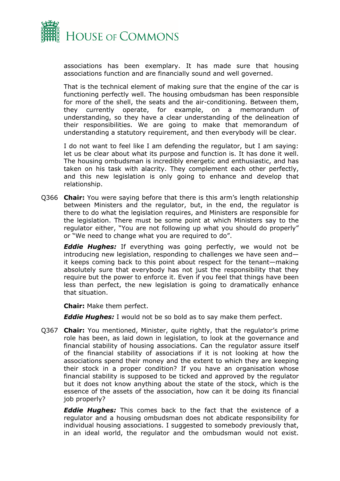

associations has been exemplary. It has made sure that housing associations function and are financially sound and well governed.

That is the technical element of making sure that the engine of the car is functioning perfectly well. The housing ombudsman has been responsible for more of the shell, the seats and the air-conditioning. Between them, they currently operate, for example, on a memorandum of understanding, so they have a clear understanding of the delineation of their responsibilities. We are going to make that memorandum of understanding a statutory requirement, and then everybody will be clear.

I do not want to feel like I am defending the regulator, but I am saying: let us be clear about what its purpose and function is. It has done it well. The housing ombudsman is incredibly energetic and enthusiastic, and has taken on his task with alacrity. They complement each other perfectly, and this new legislation is only going to enhance and develop that relationship.

Q366 **Chair:** You were saying before that there is this arm's length relationship between Ministers and the regulator, but, in the end, the regulator is there to do what the legislation requires, and Ministers are responsible for the legislation. There must be some point at which Ministers say to the regulator either, "You are not following up what you should do properly" or "We need to change what you are required to do".

*Eddie Hughes:* If everything was going perfectly, we would not be introducing new legislation, responding to challenges we have seen and it keeps coming back to this point about respect for the tenant—making absolutely sure that everybody has not just the responsibility that they require but the power to enforce it. Even if you feel that things have been less than perfect, the new legislation is going to dramatically enhance that situation.

**Chair:** Make them perfect.

*Eddie Hughes:* I would not be so bold as to say make them perfect.

Q367 **Chair:** You mentioned, Minister, quite rightly, that the regulator's prime role has been, as laid down in legislation, to look at the governance and financial stability of housing associations. Can the regulator assure itself of the financial stability of associations if it is not looking at how the associations spend their money and the extent to which they are keeping their stock in a proper condition? If you have an organisation whose financial stability is supposed to be ticked and approved by the regulator but it does not know anything about the state of the stock, which is the essence of the assets of the association, how can it be doing its financial job properly?

*Eddie Hughes:* This comes back to the fact that the existence of a regulator and a housing ombudsman does not abdicate responsibility for individual housing associations. I suggested to somebody previously that, in an ideal world, the regulator and the ombudsman would not exist.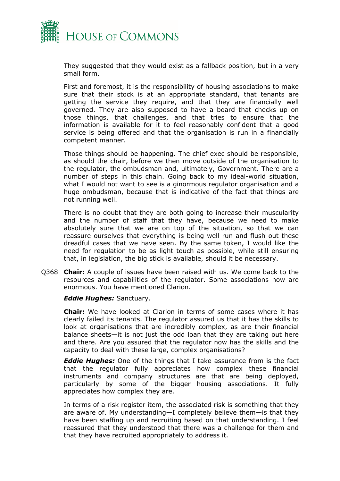

They suggested that they would exist as a fallback position, but in a very small form.

First and foremost, it is the responsibility of housing associations to make sure that their stock is at an appropriate standard, that tenants are getting the service they require, and that they are financially well governed. They are also supposed to have a board that checks up on those things, that challenges, and that tries to ensure that the information is available for it to feel reasonably confident that a good service is being offered and that the organisation is run in a financially competent manner.

Those things should be happening. The chief exec should be responsible, as should the chair, before we then move outside of the organisation to the regulator, the ombudsman and, ultimately, Government. There are a number of steps in this chain. Going back to my ideal-world situation, what I would not want to see is a ginormous regulator organisation and a huge ombudsman, because that is indicative of the fact that things are not running well.

There is no doubt that they are both going to increase their muscularity and the number of staff that they have, because we need to make absolutely sure that we are on top of the situation, so that we can reassure ourselves that everything is being well run and flush out these dreadful cases that we have seen. By the same token, I would like the need for regulation to be as light touch as possible, while still ensuring that, in legislation, the big stick is available, should it be necessary.

Q368 **Chair:** A couple of issues have been raised with us. We come back to the resources and capabilities of the regulator. Some associations now are enormous. You have mentioned Clarion.

#### *Eddie Hughes:* Sanctuary.

**Chair:** We have looked at Clarion in terms of some cases where it has clearly failed its tenants. The regulator assured us that it has the skills to look at organisations that are incredibly complex, as are their financial balance sheets—it is not just the odd loan that they are taking out here and there. Are you assured that the regulator now has the skills and the capacity to deal with these large, complex organisations?

*Eddie Hughes:* One of the things that I take assurance from is the fact that the regulator fully appreciates how complex these financial instruments and company structures are that are being deployed, particularly by some of the bigger housing associations. It fully appreciates how complex they are.

In terms of a risk register item, the associated risk is something that they are aware of. My understanding—I completely believe them—is that they have been staffing up and recruiting based on that understanding. I feel reassured that they understood that there was a challenge for them and that they have recruited appropriately to address it.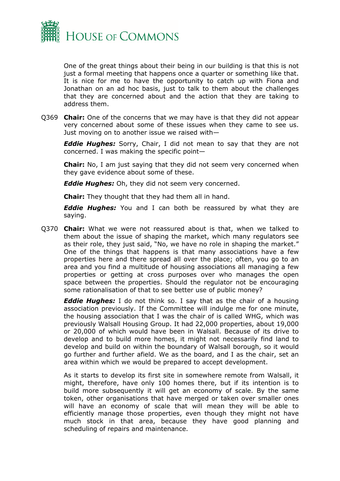

One of the great things about their being in our building is that this is not just a formal meeting that happens once a quarter or something like that. It is nice for me to have the opportunity to catch up with Fiona and Jonathan on an ad hoc basis, just to talk to them about the challenges that they are concerned about and the action that they are taking to address them.

Q369 **Chair:** One of the concerns that we may have is that they did not appear very concerned about some of these issues when they came to see us. Just moving on to another issue we raised with—

*Eddie Hughes:* Sorry, Chair, I did not mean to say that they are not concerned. I was making the specific point—

**Chair:** No, I am just saying that they did not seem very concerned when they gave evidence about some of these.

*Eddie Hughes:* Oh, they did not seem very concerned.

**Chair:** They thought that they had them all in hand.

*Eddie Hughes:* You and I can both be reassured by what they are saying.

Q370 **Chair:** What we were not reassured about is that, when we talked to them about the issue of shaping the market, which many regulators see as their role, they just said, "No, we have no role in shaping the market." One of the things that happens is that many associations have a few properties here and there spread all over the place; often, you go to an area and you find a multitude of housing associations all managing a few properties or getting at cross purposes over who manages the open space between the properties. Should the regulator not be encouraging some rationalisation of that to see better use of public money?

*Eddie Hughes:* I do not think so. I say that as the chair of a housing association previously. If the Committee will indulge me for one minute, the housing association that I was the chair of is called WHG, which was previously Walsall Housing Group. It had 22,000 properties, about 19,000 or 20,000 of which would have been in Walsall. Because of its drive to develop and to build more homes, it might not necessarily find land to develop and build on within the boundary of Walsall borough, so it would go further and further afield. We as the board, and I as the chair, set an area within which we would be prepared to accept development.

As it starts to develop its first site in somewhere remote from Walsall, it might, therefore, have only 100 homes there, but if its intention is to build more subsequently it will get an economy of scale. By the same token, other organisations that have merged or taken over smaller ones will have an economy of scale that will mean they will be able to efficiently manage those properties, even though they might not have much stock in that area, because they have good planning and scheduling of repairs and maintenance.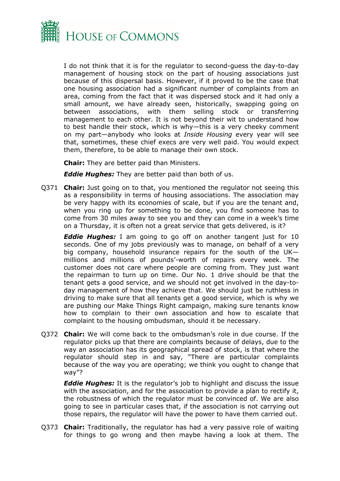

I do not think that it is for the regulator to second-guess the day-to-day management of housing stock on the part of housing associations just because of this dispersal basis. However, if it proved to be the case that one housing association had a significant number of complaints from an area, coming from the fact that it was dispersed stock and it had only a small amount, we have already seen, historically, swapping going on between associations, with them selling stock or transferring management to each other. It is not beyond their wit to understand how to best handle their stock, which is why—this is a very cheeky comment on my part—anybody who looks at *Inside Housing* every year will see that, sometimes, these chief execs are very well paid. You would expect them, therefore, to be able to manage their own stock.

**Chair:** They are better paid than Ministers.

*Eddie Hughes:* They are better paid than both of us.

Q371 **Chair:** Just going on to that, you mentioned the regulator not seeing this as a responsibility in terms of housing associations. The association may be very happy with its economies of scale, but if you are the tenant and, when you ring up for something to be done, you find someone has to come from 30 miles away to see you and they can come in a week's time on a Thursday, it is often not a great service that gets delivered, is it?

*Eddie Hughes:* I am going to go off on another tangent just for 10 seconds. One of my jobs previously was to manage, on behalf of a very big company, household insurance repairs for the south of the UK millions and millions of pounds'-worth of repairs every week. The customer does not care where people are coming from. They just want the repairman to turn up on time. Our No. 1 drive should be that the tenant gets a good service, and we should not get involved in the day-today management of how they achieve that. We should just be ruthless in driving to make sure that all tenants get a good service, which is why we are pushing our Make Things Right campaign, making sure tenants know how to complain to their own association and how to escalate that complaint to the housing ombudsman, should it be necessary.

Q372 **Chair:** We will come back to the ombudsman's role in due course. If the regulator picks up that there are complaints because of delays, due to the way an association has its geographical spread of stock, is that where the regulator should step in and say, "There are particular complaints because of the way you are operating; we think you ought to change that way"?

*Eddie Hughes:* It is the regulator's job to highlight and discuss the issue with the association, and for the association to provide a plan to rectify it, the robustness of which the regulator must be convinced of. We are also going to see in particular cases that, if the association is not carrying out those repairs, the regulator will have the power to have them carried out.

Q373 **Chair:** Traditionally, the regulator has had a very passive role of waiting for things to go wrong and then maybe having a look at them. The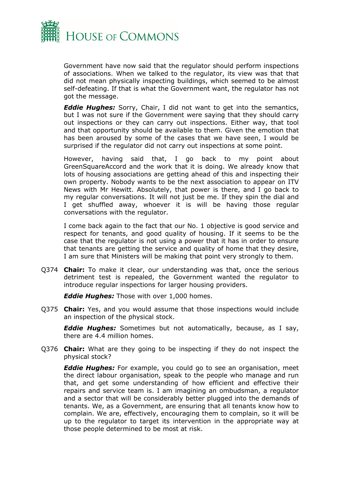

Government have now said that the regulator should perform inspections of associations. When we talked to the regulator, its view was that that did not mean physically inspecting buildings, which seemed to be almost self-defeating. If that is what the Government want, the regulator has not got the message.

*Eddie Hughes:* Sorry, Chair, I did not want to get into the semantics, but I was not sure if the Government were saying that they should carry out inspections or they can carry out inspections. Either way, that tool and that opportunity should be available to them. Given the emotion that has been aroused by some of the cases that we have seen, I would be surprised if the regulator did not carry out inspections at some point.

However, having said that, I go back to my point about GreenSquareAccord and the work that it is doing. We already know that lots of housing associations are getting ahead of this and inspecting their own property. Nobody wants to be the next association to appear on ITV News with Mr Hewitt. Absolutely, that power is there, and I go back to my regular conversations. It will not just be me. If they spin the dial and I get shuffled away, whoever it is will be having those regular conversations with the regulator.

I come back again to the fact that our No. 1 objective is good service and respect for tenants, and good quality of housing. If it seems to be the case that the regulator is not using a power that it has in order to ensure that tenants are getting the service and quality of home that they desire, I am sure that Ministers will be making that point very strongly to them.

Q374 **Chair:** To make it clear, our understanding was that, once the serious detriment test is repealed, the Government wanted the regulator to introduce regular inspections for larger housing providers.

*Eddie Hughes:* Those with over 1,000 homes.

Q375 **Chair:** Yes, and you would assume that those inspections would include an inspection of the physical stock.

*Eddie Hughes:* Sometimes but not automatically, because, as I say, there are 4.4 million homes.

Q376 **Chair:** What are they going to be inspecting if they do not inspect the physical stock?

*Eddie Hughes:* For example, you could go to see an organisation, meet the direct labour organisation, speak to the people who manage and run that, and get some understanding of how efficient and effective their repairs and service team is. I am imagining an ombudsman, a regulator and a sector that will be considerably better plugged into the demands of tenants. We, as a Government, are ensuring that all tenants know how to complain. We are, effectively, encouraging them to complain, so it will be up to the regulator to target its intervention in the appropriate way at those people determined to be most at risk.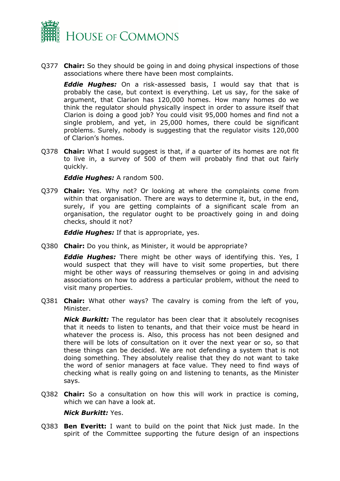

Q377 **Chair:** So they should be going in and doing physical inspections of those associations where there have been most complaints.

*Eddie Hughes:* On a risk-assessed basis, I would say that that is probably the case, but context is everything. Let us say, for the sake of argument, that Clarion has 120,000 homes. How many homes do we think the regulator should physically inspect in order to assure itself that Clarion is doing a good job? You could visit 95,000 homes and find not a single problem, and yet, in 25,000 homes, there could be significant problems. Surely, nobody is suggesting that the regulator visits 120,000 of Clarion's homes.

Q378 **Chair:** What I would suggest is that, if a quarter of its homes are not fit to live in, a survey of 500 of them will probably find that out fairly quickly.

*Eddie Hughes:* A random 500.

Q379 **Chair:** Yes. Why not? Or looking at where the complaints come from within that organisation. There are ways to determine it, but, in the end, surely, if you are getting complaints of a significant scale from an organisation, the regulator ought to be proactively going in and doing checks, should it not?

*Eddie Hughes:* If that is appropriate, yes.

Q380 **Chair:** Do you think, as Minister, it would be appropriate?

*Eddie Hughes:* There might be other ways of identifying this. Yes, I would suspect that they will have to visit some properties, but there might be other ways of reassuring themselves or going in and advising associations on how to address a particular problem, without the need to visit many properties.

Q381 **Chair:** What other ways? The cavalry is coming from the left of you, Minister.

*Nick Burkitt:* The regulator has been clear that it absolutely recognises that it needs to listen to tenants, and that their voice must be heard in whatever the process is. Also, this process has not been designed and there will be lots of consultation on it over the next year or so, so that these things can be decided. We are not defending a system that is not doing something. They absolutely realise that they do not want to take the word of senior managers at face value. They need to find ways of checking what is really going on and listening to tenants, as the Minister says.

Q382 **Chair:** So a consultation on how this will work in practice is coming, which we can have a look at.

# *Nick Burkitt:* Yes.

Q383 **Ben Everitt:** I want to build on the point that Nick just made. In the spirit of the Committee supporting the future design of an inspections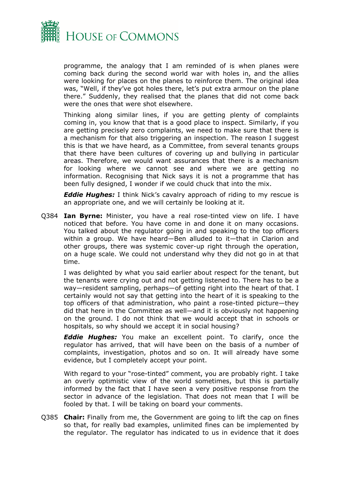

programme, the analogy that I am reminded of is when planes were coming back during the second world war with holes in, and the allies were looking for places on the planes to reinforce them. The original idea was, "Well, if they've got holes there, let's put extra armour on the plane there." Suddenly, they realised that the planes that did not come back were the ones that were shot elsewhere.

Thinking along similar lines, if you are getting plenty of complaints coming in, you know that that is a good place to inspect. Similarly, if you are getting precisely zero complaints, we need to make sure that there is a mechanism for that also triggering an inspection. The reason I suggest this is that we have heard, as a Committee, from several tenants groups that there have been cultures of covering up and bullying in particular areas. Therefore, we would want assurances that there is a mechanism for looking where we cannot see and where we are getting no information. Recognising that Nick says it is not a programme that has been fully designed, I wonder if we could chuck that into the mix.

*Eddie Hughes:* I think Nick's cavalry approach of riding to my rescue is an appropriate one, and we will certainly be looking at it.

Q384 **Ian Byrne:** Minister, you have a real rose-tinted view on life. I have noticed that before. You have come in and done it on many occasions. You talked about the regulator going in and speaking to the top officers within a group. We have heard—Ben alluded to it—that in Clarion and other groups, there was systemic cover-up right through the operation, on a huge scale. We could not understand why they did not go in at that time.

I was delighted by what you said earlier about respect for the tenant, but the tenants were crying out and not getting listened to. There has to be a way—resident sampling, perhaps—of getting right into the heart of that. I certainly would not say that getting into the heart of it is speaking to the top officers of that administration, who paint a rose-tinted picture—they did that here in the Committee as well—and it is obviously not happening on the ground. I do not think that we would accept that in schools or hospitals, so why should we accept it in social housing?

*Eddie Hughes:* You make an excellent point. To clarify, once the regulator has arrived, that will have been on the basis of a number of complaints, investigation, photos and so on. It will already have some evidence, but I completely accept your point.

With regard to your "rose-tinted" comment, you are probably right. I take an overly optimistic view of the world sometimes, but this is partially informed by the fact that I have seen a very positive response from the sector in advance of the legislation. That does not mean that I will be fooled by that. I will be taking on board your comments.

Q385 **Chair:** Finally from me, the Government are going to lift the cap on fines so that, for really bad examples, unlimited fines can be implemented by the regulator. The regulator has indicated to us in evidence that it does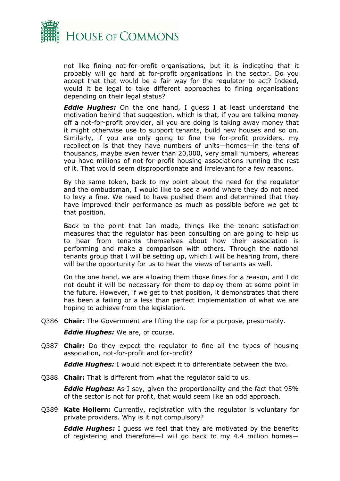

not like fining not-for-profit organisations, but it is indicating that it probably will go hard at for-profit organisations in the sector. Do you accept that that would be a fair way for the regulator to act? Indeed, would it be legal to take different approaches to fining organisations depending on their legal status?

*Eddie Hughes:* On the one hand, I guess I at least understand the motivation behind that suggestion, which is that, if you are talking money off a not-for-profit provider, all you are doing is taking away money that it might otherwise use to support tenants, build new houses and so on. Similarly, if you are only going to fine the for-profit providers, my recollection is that they have numbers of units—homes—in the tens of thousands, maybe even fewer than 20,000, very small numbers, whereas you have millions of not-for-profit housing associations running the rest of it. That would seem disproportionate and irrelevant for a few reasons.

By the same token, back to my point about the need for the regulator and the ombudsman, I would like to see a world where they do not need to levy a fine. We need to have pushed them and determined that they have improved their performance as much as possible before we get to that position.

Back to the point that Ian made, things like the tenant satisfaction measures that the regulator has been consulting on are going to help us to hear from tenants themselves about how their association is performing and make a comparison with others. Through the national tenants group that I will be setting up, which I will be hearing from, there will be the opportunity for us to hear the views of tenants as well.

On the one hand, we are allowing them those fines for a reason, and I do not doubt it will be necessary for them to deploy them at some point in the future. However, if we get to that position, it demonstrates that there has been a failing or a less than perfect implementation of what we are hoping to achieve from the legislation.

Q386 **Chair:** The Government are lifting the cap for a purpose, presumably.

*Eddie Hughes:* We are, of course.

Q387 **Chair:** Do they expect the regulator to fine all the types of housing association, not-for-profit and for-profit?

*Eddie Hughes:* I would not expect it to differentiate between the two.

Q388 **Chair:** That is different from what the regulator said to us.

*Eddie Hughes:* As I say, given the proportionality and the fact that 95% of the sector is not for profit, that would seem like an odd approach.

Q389 **Kate Hollern:** Currently, registration with the regulator is voluntary for private providers. Why is it not compulsory?

*Eddie Hughes:* I guess we feel that they are motivated by the benefits of registering and therefore—I will go back to my 4.4 million homes—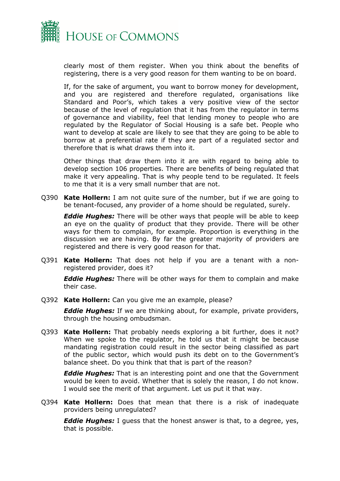

clearly most of them register. When you think about the benefits of registering, there is a very good reason for them wanting to be on board.

If, for the sake of argument, you want to borrow money for development, and you are registered and therefore regulated, organisations like Standard and Poor's, which takes a very positive view of the sector because of the level of regulation that it has from the regulator in terms of governance and viability, feel that lending money to people who are regulated by the Regulator of Social Housing is a safe bet. People who want to develop at scale are likely to see that they are going to be able to borrow at a preferential rate if they are part of a regulated sector and therefore that is what draws them into it.

Other things that draw them into it are with regard to being able to develop section 106 properties. There are benefits of being regulated that make it very appealing. That is why people tend to be regulated. It feels to me that it is a very small number that are not.

Q390 **Kate Hollern:** I am not quite sure of the number, but if we are going to be tenant-focused, any provider of a home should be regulated, surely.

*Eddie Hughes:* There will be other ways that people will be able to keep an eye on the quality of product that they provide. There will be other ways for them to complain, for example. Proportion is everything in the discussion we are having. By far the greater majority of providers are registered and there is very good reason for that.

Q391 **Kate Hollern:** That does not help if you are a tenant with a nonregistered provider, does it?

*Eddie Hughes:* There will be other ways for them to complain and make their case.

Q392 **Kate Hollern:** Can you give me an example, please?

*Eddie Hughes:* If we are thinking about, for example, private providers, through the housing ombudsman.

Q393 **Kate Hollern:** That probably needs exploring a bit further, does it not? When we spoke to the regulator, he told us that it might be because mandating registration could result in the sector being classified as part of the public sector, which would push its debt on to the Government's balance sheet. Do you think that that is part of the reason?

*Eddie Hughes:* That is an interesting point and one that the Government would be keen to avoid. Whether that is solely the reason, I do not know. I would see the merit of that argument. Let us put it that way.

Q394 **Kate Hollern:** Does that mean that there is a risk of inadequate providers being unregulated?

*Eddie Hughes:* I guess that the honest answer is that, to a degree, yes, that is possible.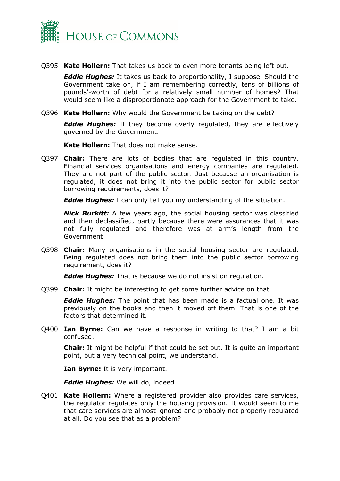

Q395 **Kate Hollern:** That takes us back to even more tenants being left out.

*Eddie Hughes:* It takes us back to proportionality, I suppose. Should the Government take on, if I am remembering correctly, tens of billions of pounds'-worth of debt for a relatively small number of homes? That would seem like a disproportionate approach for the Government to take.

Q396 **Kate Hollern:** Why would the Government be taking on the debt?

*Eddie Hughes:* If they become overly regulated, they are effectively governed by the Government.

**Kate Hollern:** That does not make sense.

Q397 **Chair:** There are lots of bodies that are regulated in this country. Financial services organisations and energy companies are regulated. They are not part of the public sector. Just because an organisation is regulated, it does not bring it into the public sector for public sector borrowing requirements, does it?

*Eddie Hughes:* I can only tell you my understanding of the situation.

*Nick Burkitt:* A few years ago, the social housing sector was classified and then declassified, partly because there were assurances that it was not fully regulated and therefore was at arm's length from the Government.

Q398 **Chair:** Many organisations in the social housing sector are regulated. Being regulated does not bring them into the public sector borrowing requirement, does it?

*Eddie Hughes:* That is because we do not insist on regulation.

Q399 **Chair:** It might be interesting to get some further advice on that.

*Eddie Hughes:* The point that has been made is a factual one. It was previously on the books and then it moved off them. That is one of the factors that determined it.

Q400 **Ian Byrne:** Can we have a response in writing to that? I am a bit confused.

**Chair:** It might be helpful if that could be set out. It is quite an important point, but a very technical point, we understand.

**Ian Byrne:** It is very important.

*Eddie Hughes:* We will do, indeed.

Q401 **Kate Hollern:** Where a registered provider also provides care services, the regulator regulates only the housing provision. It would seem to me that care services are almost ignored and probably not properly regulated at all. Do you see that as a problem?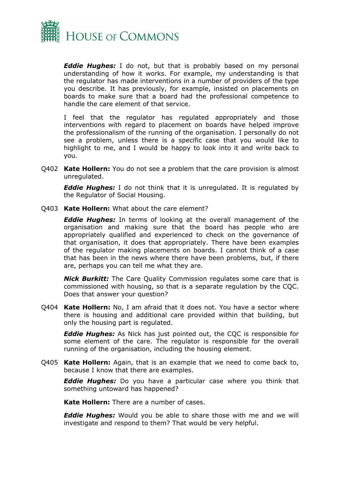

*Eddie Hughes:* I do not, but that is probably based on my personal understanding of how it works. For example, my understanding is that the regulator has made interventions in a number of providers of the type you describe. It has previously, for example, insisted on placements on boards to make sure that a board had the professional competence to handle the care element of that service.

I feel that the regulator has regulated appropriately and those interventions with regard to placement on boards have helped improve the professionalism of the running of the organisation. I personally do not see a problem, unless there is a specific case that you would like to highlight to me, and I would be happy to look into it and write back to you.

Q402 **Kate Hollern:** You do not see a problem that the care provision is almost unregulated.

*Eddie Hughes:* I do not think that it is unregulated. It is regulated by the Regulator of Social Housing.

Q403 **Kate Hollern:** What about the care element?

*Eddie Hughes:* In terms of looking at the overall management of the organisation and making sure that the board has people who are appropriately qualified and experienced to check on the governance of that organisation, it does that appropriately. There have been examples of the regulator making placements on boards. I cannot think of a case that has been in the news where there have been problems, but, if there are, perhaps you can tell me what they are.

*Nick Burkitt:* The Care Quality Commission regulates some care that is commissioned with housing, so that is a separate regulation by the CQC. Does that answer your question?

Q404 **Kate Hollern:** No, I am afraid that it does not. You have a sector where there is housing and additional care provided within that building, but only the housing part is regulated.

*Eddie Hughes:* As Nick has just pointed out, the CQC is responsible for some element of the care. The regulator is responsible for the overall running of the organisation, including the housing element.

Q405 **Kate Hollern:** Again, that is an example that we need to come back to, because I know that there are examples.

*Eddie Hughes:* Do you have a particular case where you think that something untoward has happened?

**Kate Hollern:** There are a number of cases.

*Eddie Hughes:* Would you be able to share those with me and we will investigate and respond to them? That would be very helpful.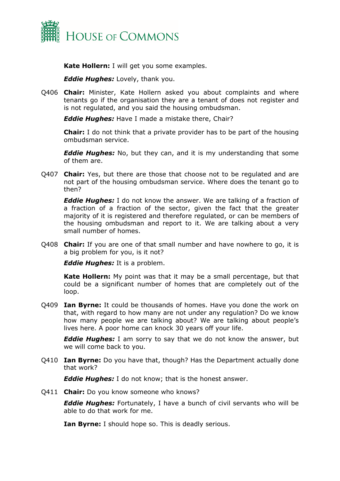

**Kate Hollern:** I will get you some examples.

*Eddie Hughes:* Lovely, thank you.

Q406 **Chair:** Minister, Kate Hollern asked you about complaints and where tenants go if the organisation they are a tenant of does not register and is not regulated, and you said the housing ombudsman.

*Eddie Hughes:* Have I made a mistake there, Chair?

**Chair:** I do not think that a private provider has to be part of the housing ombudsman service.

*Eddie Hughes:* No, but they can, and it is my understanding that some of them are.

Q407 **Chair:** Yes, but there are those that choose not to be regulated and are not part of the housing ombudsman service. Where does the tenant go to then?

*Eddie Hughes:* I do not know the answer. We are talking of a fraction of a fraction of a fraction of the sector, given the fact that the greater majority of it is registered and therefore regulated, or can be members of the housing ombudsman and report to it. We are talking about a very small number of homes.

Q408 **Chair:** If you are one of that small number and have nowhere to go, it is a big problem for you, is it not?

*Eddie Hughes:* It is a problem.

**Kate Hollern:** My point was that it may be a small percentage, but that could be a significant number of homes that are completely out of the loop.

Q409 **Ian Byrne:** It could be thousands of homes. Have you done the work on that, with regard to how many are not under any regulation? Do we know how many people we are talking about? We are talking about people's lives here. A poor home can knock 30 years off your life.

*Eddie Hughes:* I am sorry to say that we do not know the answer, but we will come back to you.

Q410 **Ian Byrne:** Do you have that, though? Has the Department actually done that work?

*Eddie Hughes:* I do not know; that is the honest answer.

Q411 **Chair:** Do you know someone who knows?

*Eddie Hughes:* Fortunately, I have a bunch of civil servants who will be able to do that work for me.

**Ian Byrne:** I should hope so. This is deadly serious.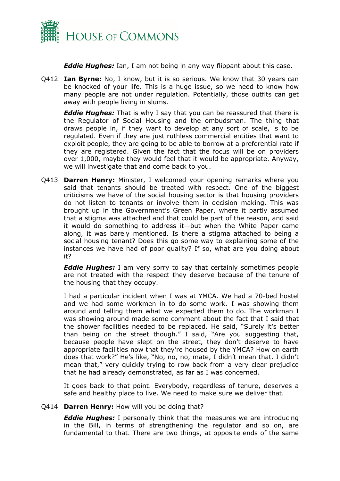

*Eddie Hughes:* Ian, I am not being in any way flippant about this case.

Q412 **Ian Byrne:** No, I know, but it is so serious. We know that 30 years can be knocked of your life. This is a huge issue, so we need to know how many people are not under regulation. Potentially, those outfits can get away with people living in slums.

*Eddie Hughes:* That is why I say that you can be reassured that there is the Regulator of Social Housing and the ombudsman. The thing that draws people in, if they want to develop at any sort of scale, is to be regulated. Even if they are just ruthless commercial entities that want to exploit people, they are going to be able to borrow at a preferential rate if they are registered. Given the fact that the focus will be on providers over 1,000, maybe they would feel that it would be appropriate. Anyway, we will investigate that and come back to you.

Q413 **Darren Henry:** Minister, I welcomed your opening remarks where you said that tenants should be treated with respect. One of the biggest criticisms we have of the social housing sector is that housing providers do not listen to tenants or involve them in decision making. This was brought up in the Government's Green Paper, where it partly assumed that a stigma was attached and that could be part of the reason, and said it would do something to address it—but when the White Paper came along, it was barely mentioned. Is there a stigma attached to being a social housing tenant? Does this go some way to explaining some of the instances we have had of poor quality? If so, what are you doing about it?

*Eddie Hughes:* I am very sorry to say that certainly sometimes people are not treated with the respect they deserve because of the tenure of the housing that they occupy.

I had a particular incident when I was at YMCA. We had a 70-bed hostel and we had some workmen in to do some work. I was showing them around and telling them what we expected them to do. The workman I was showing around made some comment about the fact that I said that the shower facilities needed to be replaced. He said, "Surely it's better than being on the street though." I said, "Are you suggesting that, because people have slept on the street, they don't deserve to have appropriate facilities now that they're housed by the YMCA? How on earth does that work?" He's like, "No, no, no, mate, I didn't mean that. I didn't mean that," very quickly trying to row back from a very clear prejudice that he had already demonstrated, as far as I was concerned.

It goes back to that point. Everybody, regardless of tenure, deserves a safe and healthy place to live. We need to make sure we deliver that.

# Q414 **Darren Henry:** How will you be doing that?

*Eddie Hughes:* I personally think that the measures we are introducing in the Bill, in terms of strengthening the regulator and so on, are fundamental to that. There are two things, at opposite ends of the same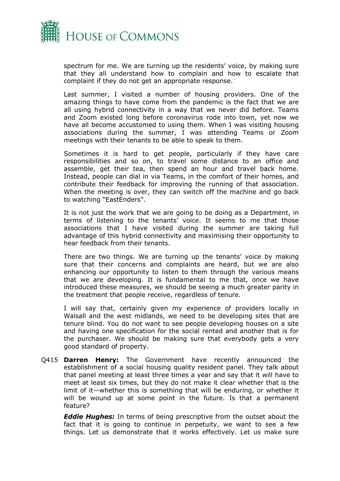

spectrum for me. We are turning up the residents' voice, by making sure that they all understand how to complain and how to escalate that complaint if they do not get an appropriate response.

Last summer, I visited a number of housing providers. One of the amazing things to have come from the pandemic is the fact that we are all using hybrid connectivity in a way that we never did before. Teams and Zoom existed long before coronavirus rode into town, yet now we have all become accustomed to using them. When I was visiting housing associations during the summer, I was attending Teams or Zoom meetings with their tenants to be able to speak to them.

Sometimes it is hard to get people, particularly if they have care responsibilities and so on, to travel some distance to an office and assemble, get their tea, then spend an hour and travel back home. Instead, people can dial in via Teams, in the comfort of their homes, and contribute their feedback for improving the running of that association. When the meeting is over, they can switch off the machine and go back to watching "EastEnders".

It is not just the work that we are going to be doing as a Department, in terms of listening to the tenants' voice. It seems to me that those associations that I have visited during the summer are taking full advantage of this hybrid connectivity and maximising their opportunity to hear feedback from their tenants.

There are two things. We are turning up the tenants' voice by making sure that their concerns and complaints are heard, but we are also enhancing our opportunity to listen to them through the various means that we are developing. It is fundamental to me that, once we have introduced these measures, we should be seeing a much greater parity in the treatment that people receive, regardless of tenure.

I will say that, certainly given my experience of providers locally in Walsall and the west midlands, we need to be developing sites that are tenure blind. You do not want to see people developing houses on a site and having one specification for the social rented and another that is for the purchaser. We should be making sure that everybody gets a very good standard of property.

Q415 **Darren Henry:** The Government have recently announced the establishment of a social housing quality resident panel. They talk about that panel meeting at least three times a year and say that it will have to meet at least six times, but they do not make it clear whether that is the limit of it—whether this is something that will be enduring, or whether it will be wound up at some point in the future. Is that a permanent feature?

*Eddie Hughes:* In terms of being prescriptive from the outset about the fact that it is going to continue in perpetuity, we want to see a few things. Let us demonstrate that it works effectively. Let us make sure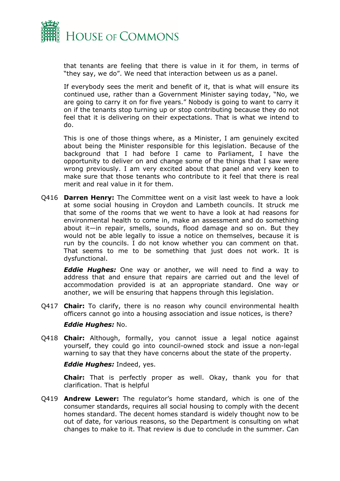

that tenants are feeling that there is value in it for them, in terms of "they say, we do". We need that interaction between us as a panel.

If everybody sees the merit and benefit of it, that is what will ensure its continued use, rather than a Government Minister saying today, "No, we are going to carry it on for five years." Nobody is going to want to carry it on if the tenants stop turning up or stop contributing because they do not feel that it is delivering on their expectations. That is what we intend to do.

This is one of those things where, as a Minister, I am genuinely excited about being the Minister responsible for this legislation. Because of the background that I had before I came to Parliament, I have the opportunity to deliver on and change some of the things that I saw were wrong previously. I am very excited about that panel and very keen to make sure that those tenants who contribute to it feel that there is real merit and real value in it for them.

Q416 **Darren Henry:** The Committee went on a visit last week to have a look at some social housing in Croydon and Lambeth councils. It struck me that some of the rooms that we went to have a look at had reasons for environmental health to come in, make an assessment and do something about it—in repair, smells, sounds, flood damage and so on. But they would not be able legally to issue a notice on themselves, because it is run by the councils. I do not know whether you can comment on that. That seems to me to be something that just does not work. It is dysfunctional.

*Eddie Hughes:* One way or another, we will need to find a way to address that and ensure that repairs are carried out and the level of accommodation provided is at an appropriate standard. One way or another, we will be ensuring that happens through this legislation.

Q417 **Chair:** To clarify, there is no reason why council environmental health officers cannot go into a housing association and issue notices, is there?

# *Eddie Hughes:* No.

Q418 **Chair:** Although, formally, you cannot issue a legal notice against yourself, they could go into council-owned stock and issue a non-legal warning to say that they have concerns about the state of the property.

#### *Eddie Hughes:* Indeed, yes.

**Chair:** That is perfectly proper as well. Okay, thank you for that clarification. That is helpful

Q419 **Andrew Lewer:** The regulator's home standard, which is one of the consumer standards, requires all social housing to comply with the decent homes standard. The decent homes standard is widely thought now to be out of date, for various reasons, so the Department is consulting on what changes to make to it. That review is due to conclude in the summer. Can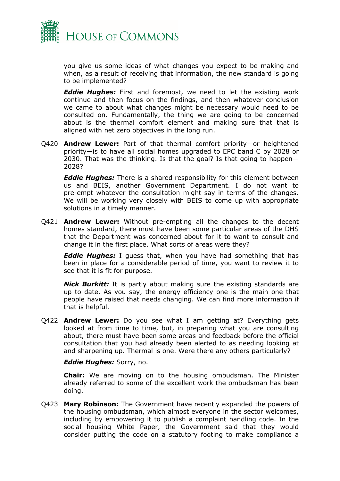

you give us some ideas of what changes you expect to be making and when, as a result of receiving that information, the new standard is going to be implemented?

*Eddie Hughes:* First and foremost, we need to let the existing work continue and then focus on the findings, and then whatever conclusion we came to about what changes might be necessary would need to be consulted on. Fundamentally, the thing we are going to be concerned about is the thermal comfort element and making sure that that is aligned with net zero objectives in the long run.

Q420 **Andrew Lewer:** Part of that thermal comfort priority—or heightened priority—is to have all social homes upgraded to EPC band C by 2028 or 2030. That was the thinking. Is that the goal? Is that going to happen— 2028?

*Eddie Hughes:* There is a shared responsibility for this element between us and BEIS, another Government Department. I do not want to pre-empt whatever the consultation might say in terms of the changes. We will be working very closely with BEIS to come up with appropriate solutions in a timely manner.

Q421 **Andrew Lewer:** Without pre-empting all the changes to the decent homes standard, there must have been some particular areas of the DHS that the Department was concerned about for it to want to consult and change it in the first place. What sorts of areas were they?

*Eddie Hughes:* I guess that, when you have had something that has been in place for a considerable period of time, you want to review it to see that it is fit for purpose.

*Nick Burkitt:* It is partly about making sure the existing standards are up to date. As you say, the energy efficiency one is the main one that people have raised that needs changing. We can find more information if that is helpful.

Q422 **Andrew Lewer:** Do you see what I am getting at? Everything gets looked at from time to time, but, in preparing what you are consulting about, there must have been some areas and feedback before the official consultation that you had already been alerted to as needing looking at and sharpening up. Thermal is one. Were there any others particularly?

*Eddie Hughes:* Sorry, no.

**Chair:** We are moving on to the housing ombudsman. The Minister already referred to some of the excellent work the ombudsman has been doing.

Q423 **Mary Robinson:** The Government have recently expanded the powers of the housing ombudsman, which almost everyone in the sector welcomes, including by empowering it to publish a complaint handling code. In the social housing White Paper, the Government said that they would consider putting the code on a statutory footing to make compliance a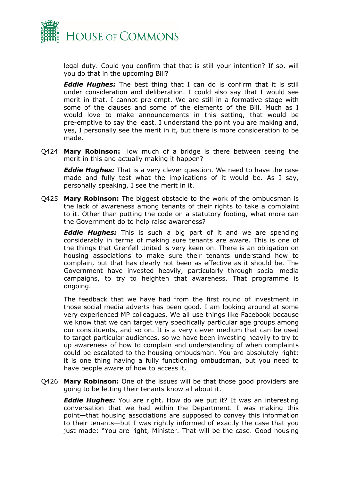

legal duty. Could you confirm that that is still your intention? If so, will you do that in the upcoming Bill?

*Eddie Hughes:* The best thing that I can do is confirm that it is still under consideration and deliberation. I could also say that I would see merit in that. I cannot pre-empt. We are still in a formative stage with some of the clauses and some of the elements of the Bill. Much as I would love to make announcements in this setting, that would be pre-emptive to say the least. I understand the point you are making and, yes, I personally see the merit in it, but there is more consideration to be made.

Q424 **Mary Robinson:** How much of a bridge is there between seeing the merit in this and actually making it happen?

*Eddie Hughes:* That is a very clever question. We need to have the case made and fully test what the implications of it would be. As I say, personally speaking, I see the merit in it.

Q425 **Mary Robinson:** The biggest obstacle to the work of the ombudsman is the lack of awareness among tenants of their rights to take a complaint to it. Other than putting the code on a statutory footing, what more can the Government do to help raise awareness?

*Eddie Hughes:* This is such a big part of it and we are spending considerably in terms of making sure tenants are aware. This is one of the things that Grenfell United is very keen on. There is an obligation on housing associations to make sure their tenants understand how to complain, but that has clearly not been as effective as it should be. The Government have invested heavily, particularly through social media campaigns, to try to heighten that awareness. That programme is ongoing.

The feedback that we have had from the first round of investment in those social media adverts has been good. I am looking around at some very experienced MP colleagues. We all use things like Facebook because we know that we can target very specifically particular age groups among our constituents, and so on. It is a very clever medium that can be used to target particular audiences, so we have been investing heavily to try to up awareness of how to complain and understanding of when complaints could be escalated to the housing ombudsman. You are absolutely right: it is one thing having a fully functioning ombudsman, but you need to have people aware of how to access it.

Q426 **Mary Robinson:** One of the issues will be that those good providers are going to be letting their tenants know all about it.

*Eddie Hughes:* You are right. How do we put it? It was an interesting conversation that we had within the Department. I was making this point—that housing associations are supposed to convey this information to their tenants—but I was rightly informed of exactly the case that you just made: "You are right, Minister. That will be the case. Good housing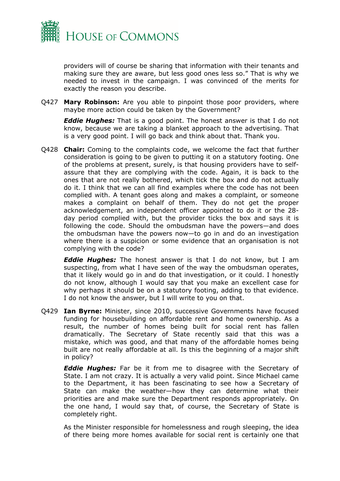

providers will of course be sharing that information with their tenants and making sure they are aware, but less good ones less so." That is why we needed to invest in the campaign. I was convinced of the merits for exactly the reason you describe.

Q427 **Mary Robinson:** Are you able to pinpoint those poor providers, where maybe more action could be taken by the Government?

*Eddie Hughes:* That is a good point. The honest answer is that I do not know, because we are taking a blanket approach to the advertising. That is a very good point. I will go back and think about that. Thank you.

Q428 **Chair:** Coming to the complaints code, we welcome the fact that further consideration is going to be given to putting it on a statutory footing. One of the problems at present, surely, is that housing providers have to selfassure that they are complying with the code. Again, it is back to the ones that are not really bothered, which tick the box and do not actually do it. I think that we can all find examples where the code has not been complied with. A tenant goes along and makes a complaint, or someone makes a complaint on behalf of them. They do not get the proper acknowledgement, an independent officer appointed to do it or the 28 day period complied with, but the provider ticks the box and says it is following the code. Should the ombudsman have the powers—and does the ombudsman have the powers now—to go in and do an investigation where there is a suspicion or some evidence that an organisation is not complying with the code?

*Eddie Hughes:* The honest answer is that I do not know, but I am suspecting, from what I have seen of the way the ombudsman operates, that it likely would go in and do that investigation, or it could. I honestly do not know, although I would say that you make an excellent case for why perhaps it should be on a statutory footing, adding to that evidence. I do not know the answer, but I will write to you on that.

Q429 **Ian Byrne:** Minister, since 2010, successive Governments have focused funding for housebuilding on affordable rent and home ownership. As a result, the number of homes being built for social rent has fallen dramatically. The Secretary of State recently said that this was a mistake, which was good, and that many of the affordable homes being built are not really affordable at all. Is this the beginning of a major shift in policy?

*Eddie Hughes:* Far be it from me to disagree with the Secretary of State. I am not crazy. It is actually a very valid point. Since Michael came to the Department, it has been fascinating to see how a Secretary of State can make the weather—how they can determine what their priorities are and make sure the Department responds appropriately. On the one hand, I would say that, of course, the Secretary of State is completely right.

As the Minister responsible for homelessness and rough sleeping, the idea of there being more homes available for social rent is certainly one that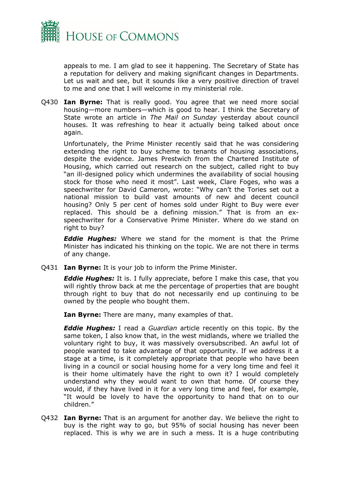

appeals to me. I am glad to see it happening. The Secretary of State has a reputation for delivery and making significant changes in Departments. Let us wait and see, but it sounds like a very positive direction of travel to me and one that I will welcome in my ministerial role.

Q430 **Ian Byrne:** That is really good. You agree that we need more social housing—more numbers—which is good to hear. I think the Secretary of State wrote an article in *The Mail on Sunday* yesterday about council houses. It was refreshing to hear it actually being talked about once again.

Unfortunately, the Prime Minister recently said that he was considering extending the right to buy scheme to tenants of housing associations, despite the evidence. James Prestwich from the Chartered Institute of Housing, which carried out research on the subject, called right to buy "an ill-designed policy which undermines the availability of social housing stock for those who need it most". Last week, Clare Foges, who was a speechwriter for David Cameron, wrote: "Why can't the Tories set out a national mission to build vast amounts of new and decent council housing? Only 5 per cent of homes sold under Right to Buy were ever replaced. This should be a defining mission." That is from an exspeechwriter for a Conservative Prime Minister. Where do we stand on right to buy?

*Eddie Hughes:* Where we stand for the moment is that the Prime Minister has indicated his thinking on the topic. We are not there in terms of any change.

Q431 **Ian Byrne:** It is your job to inform the Prime Minister.

*Eddie Hughes:* It is. I fully appreciate, before I make this case, that you will rightly throw back at me the percentage of properties that are bought through right to buy that do not necessarily end up continuing to be owned by the people who bought them.

**Ian Byrne:** There are many, many examples of that.

*Eddie Hughes:* I read a *Guardian* article recently on this topic. By the same token, I also know that, in the west midlands, where we trialled the voluntary right to buy, it was massively oversubscribed. An awful lot of people wanted to take advantage of that opportunity. If we address it a stage at a time, is it completely appropriate that people who have been living in a council or social housing home for a very long time and feel it is their home ultimately have the right to own it? I would completely understand why they would want to own that home. Of course they would, if they have lived in it for a very long time and feel, for example, "It would be lovely to have the opportunity to hand that on to our children."

Q432 **Ian Byrne:** That is an argument for another day. We believe the right to buy is the right way to go, but 95% of social housing has never been replaced. This is why we are in such a mess. It is a huge contributing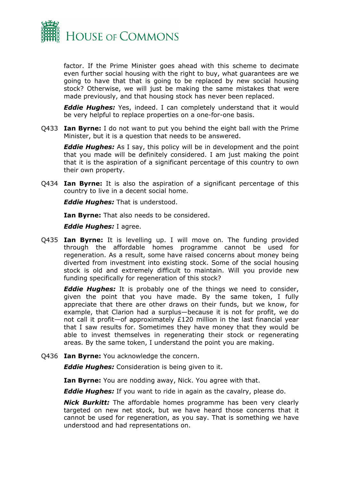

factor. If the Prime Minister goes ahead with this scheme to decimate even further social housing with the right to buy, what guarantees are we going to have that that is going to be replaced by new social housing stock? Otherwise, we will just be making the same mistakes that were made previously, and that housing stock has never been replaced.

*Eddie Hughes:* Yes, indeed. I can completely understand that it would be very helpful to replace properties on a one-for-one basis.

Q433 **Ian Byrne:** I do not want to put you behind the eight ball with the Prime Minister, but it is a question that needs to be answered.

*Eddie Hughes:* As I say, this policy will be in development and the point that you made will be definitely considered. I am just making the point that it is the aspiration of a significant percentage of this country to own their own property.

Q434 **Ian Byrne:** It is also the aspiration of a significant percentage of this country to live in a decent social home.

*Eddie Hughes:* That is understood.

**Ian Byrne:** That also needs to be considered.

*Eddie Hughes:* I agree.

Q435 **Ian Byrne:** It is levelling up. I will move on. The funding provided through the affordable homes programme cannot be used for regeneration. As a result, some have raised concerns about money being diverted from investment into existing stock. Some of the social housing stock is old and extremely difficult to maintain. Will you provide new funding specifically for regeneration of this stock?

*Eddie Hughes:* It is probably one of the things we need to consider, given the point that you have made. By the same token, I fully appreciate that there are other draws on their funds, but we know, for example, that Clarion had a surplus—because it is not for profit, we do not call it profit—of approximately £120 million in the last financial year that I saw results for. Sometimes they have money that they would be able to invest themselves in regenerating their stock or regenerating areas. By the same token, I understand the point you are making.

Q436 **Ian Byrne:** You acknowledge the concern.

*Eddie Hughes:* Consideration is being given to it.

**Ian Byrne:** You are nodding away, Nick. You agree with that.

*Eddie Hughes:* If you want to ride in again as the cavalry, please do.

*Nick Burkitt:* The affordable homes programme has been very clearly targeted on new net stock, but we have heard those concerns that it cannot be used for regeneration, as you say. That is something we have understood and had representations on.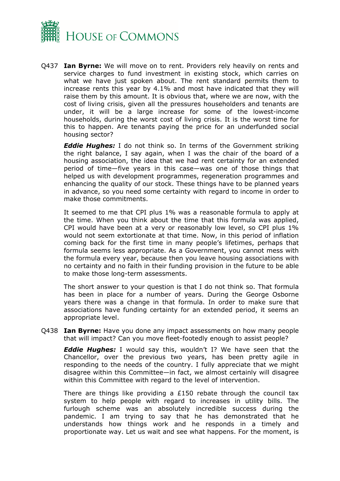

Q437 **Ian Byrne:** We will move on to rent. Providers rely heavily on rents and service charges to fund investment in existing stock, which carries on what we have just spoken about. The rent standard permits them to increase rents this year by 4.1% and most have indicated that they will raise them by this amount. It is obvious that, where we are now, with the cost of living crisis, given all the pressures householders and tenants are under, it will be a large increase for some of the lowest-income households, during the worst cost of living crisis. It is the worst time for this to happen. Are tenants paying the price for an underfunded social housing sector?

*Eddie Hughes:* I do not think so. In terms of the Government striking the right balance, I say again, when I was the chair of the board of a housing association, the idea that we had rent certainty for an extended period of time—five years in this case—was one of those things that helped us with development programmes, regeneration programmes and enhancing the quality of our stock. These things have to be planned years in advance, so you need some certainty with regard to income in order to make those commitments.

It seemed to me that CPI plus 1% was a reasonable formula to apply at the time. When you think about the time that this formula was applied, CPI would have been at a very or reasonably low level, so CPI plus 1% would not seem extortionate at that time. Now, in this period of inflation coming back for the first time in many people's lifetimes, perhaps that formula seems less appropriate. As a Government, you cannot mess with the formula every year, because then you leave housing associations with no certainty and no faith in their funding provision in the future to be able to make those long-term assessments.

The short answer to your question is that I do not think so. That formula has been in place for a number of years. During the George Osborne years there was a change in that formula. In order to make sure that associations have funding certainty for an extended period, it seems an appropriate level.

Q438 **Ian Byrne:** Have you done any impact assessments on how many people that will impact? Can you move fleet-footedly enough to assist people?

*Eddie Hughes:* I would say this, wouldn't I? We have seen that the Chancellor, over the previous two years, has been pretty agile in responding to the needs of the country. I fully appreciate that we might disagree within this Committee—in fact, we almost certainly will disagree within this Committee with regard to the level of intervention.

There are things like providing a £150 rebate through the council tax system to help people with regard to increases in utility bills. The furlough scheme was an absolutely incredible success during the pandemic. I am trying to say that he has demonstrated that he understands how things work and he responds in a timely and proportionate way. Let us wait and see what happens. For the moment, is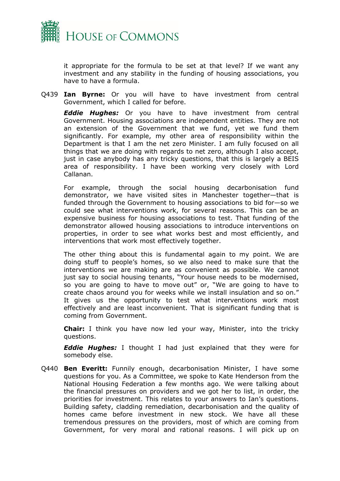

it appropriate for the formula to be set at that level? If we want any investment and any stability in the funding of housing associations, you have to have a formula.

Q439 **Ian Byrne:** Or you will have to have investment from central Government, which I called for before.

*Eddie Hughes:* Or you have to have investment from central Government. Housing associations are independent entities. They are not an extension of the Government that we fund, yet we fund them significantly. For example, my other area of responsibility within the Department is that I am the net zero Minister. I am fully focused on all things that we are doing with regards to net zero, although I also accept, just in case anybody has any tricky questions, that this is largely a BEIS area of responsibility. I have been working very closely with Lord Callanan.

For example, through the social housing decarbonisation fund demonstrator, we have visited sites in Manchester together—that is funded through the Government to housing associations to bid for—so we could see what interventions work, for several reasons. This can be an expensive business for housing associations to test. That funding of the demonstrator allowed housing associations to introduce interventions on properties, in order to see what works best and most efficiently, and interventions that work most effectively together.

The other thing about this is fundamental again to my point. We are doing stuff to people's homes, so we also need to make sure that the interventions we are making are as convenient as possible. We cannot just say to social housing tenants, "Your house needs to be modernised, so you are going to have to move out" or, "We are going to have to create chaos around you for weeks while we install insulation and so on." It gives us the opportunity to test what interventions work most effectively and are least inconvenient. That is significant funding that is coming from Government.

**Chair:** I think you have now led your way, Minister, into the tricky questions.

*Eddie Hughes:* I thought I had just explained that they were for somebody else.

Q440 **Ben Everitt:** Funnily enough, decarbonisation Minister, I have some questions for you. As a Committee, we spoke to Kate Henderson from the National Housing Federation a few months ago. We were talking about the financial pressures on providers and we got her to list, in order, the priorities for investment. This relates to your answers to Ian's questions. Building safety, cladding remediation, decarbonisation and the quality of homes came before investment in new stock. We have all these tremendous pressures on the providers, most of which are coming from Government, for very moral and rational reasons. I will pick up on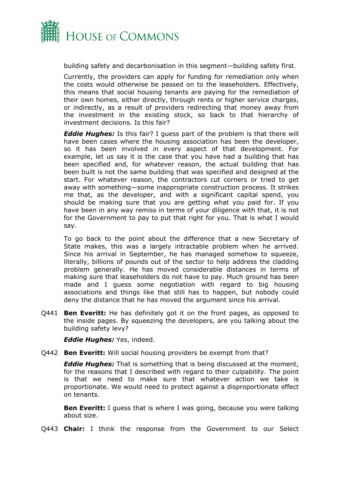

building safety and decarbonisation in this segment—building safety first.

Currently, the providers can apply for funding for remediation only when the costs would otherwise be passed on to the leaseholders. Effectively, this means that social housing tenants are paying for the remediation of their own homes, either directly, through rents or higher service charges, or indirectly, as a result of providers redirecting that money away from the investment in the existing stock, so back to that hierarchy of investment decisions. Is this fair?

*Eddie Hughes:* Is this fair? I guess part of the problem is that there will have been cases where the housing association has been the developer, so it has been involved in every aspect of that development. For example, let us say it is the case that you have had a building that has been specified and, for whatever reason, the actual building that has been built is not the same building that was specified and designed at the start. For whatever reason, the contractors cut corners or tried to get away with something—some inappropriate construction process. It strikes me that, as the developer, and with a significant capital spend, you should be making sure that you are getting what you paid for. If you have been in any way remiss in terms of your diligence with that, it is not for the Government to pay to put that right for you. That is what I would say.

To go back to the point about the difference that a new Secretary of State makes, this was a largely intractable problem when he arrived. Since his arrival in September, he has managed somehow to squeeze, literally, billions of pounds out of the sector to help address the cladding problem generally. He has moved considerable distances in terms of making sure that leaseholders do not have to pay. Much ground has been made and I guess some negotiation with regard to big housing associations and things like that still has to happen, but nobody could deny the distance that he has moved the argument since his arrival.

Q441 **Ben Everitt:** He has definitely got it on the front pages, as opposed to the inside pages. By squeezing the developers, are you talking about the building safety levy?

*Eddie Hughes:* Yes, indeed.

Q442 **Ben Everitt:** Will social housing providers be exempt from that?

*Eddie Hughes:* That is something that is being discussed at the moment, for the reasons that I described with regard to their culpability. The point is that we need to make sure that whatever action we take is proportionate. We would need to protect against a disproportionate effect on tenants.

**Ben Everitt:** I guess that is where I was going, because you were talking about size.

Q443 **Chair:** I think the response from the Government to our Select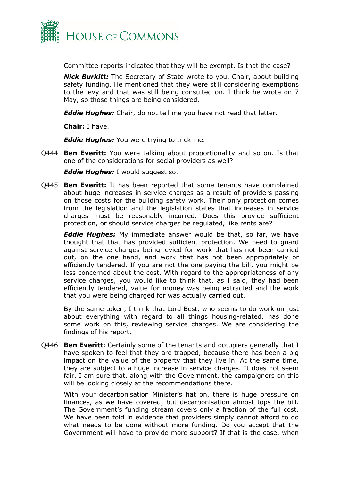

Committee reports indicated that they will be exempt. Is that the case?

*Nick Burkitt:* The Secretary of State wrote to you, Chair, about building safety funding. He mentioned that they were still considering exemptions to the levy and that was still being consulted on. I think he wrote on 7 May, so those things are being considered.

*Eddie Hughes:* Chair, do not tell me you have not read that letter.

**Chair:** I have.

*Eddie Hughes:* You were trying to trick me.

Q444 **Ben Everitt:** You were talking about proportionality and so on. Is that one of the considerations for social providers as well?

*Eddie Hughes:* I would suggest so.

Q445 **Ben Everitt:** It has been reported that some tenants have complained about huge increases in service charges as a result of providers passing on those costs for the building safety work. Their only protection comes from the legislation and the legislation states that increases in service charges must be reasonably incurred. Does this provide sufficient protection, or should service charges be regulated, like rents are?

*Eddie Hughes:* My immediate answer would be that, so far, we have thought that that has provided sufficient protection. We need to guard against service charges being levied for work that has not been carried out, on the one hand, and work that has not been appropriately or efficiently tendered. If you are not the one paying the bill, you might be less concerned about the cost. With regard to the appropriateness of any service charges, you would like to think that, as I said, they had been efficiently tendered, value for money was being extracted and the work that you were being charged for was actually carried out.

By the same token, I think that Lord Best, who seems to do work on just about everything with regard to all things housing-related, has done some work on this, reviewing service charges. We are considering the findings of his report.

Q446 **Ben Everitt:** Certainly some of the tenants and occupiers generally that I have spoken to feel that they are trapped, because there has been a big impact on the value of the property that they live in. At the same time, they are subject to a huge increase in service charges. It does not seem fair. I am sure that, along with the Government, the campaigners on this will be looking closely at the recommendations there.

With your decarbonisation Minister's hat on, there is huge pressure on finances, as we have covered, but decarbonisation almost tops the bill. The Government's funding stream covers only a fraction of the full cost. We have been told in evidence that providers simply cannot afford to do what needs to be done without more funding. Do you accept that the Government will have to provide more support? If that is the case, when